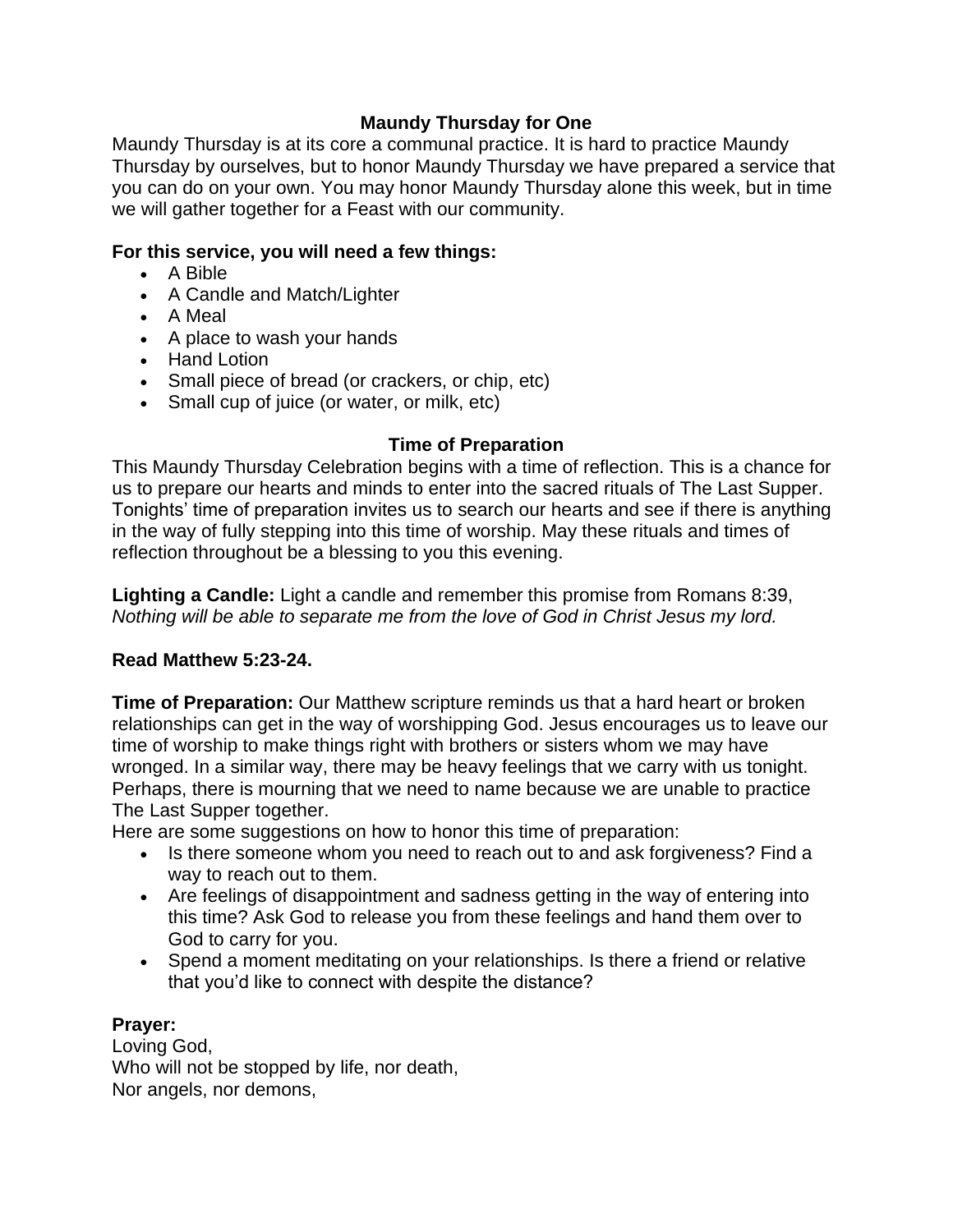## **Maundy Thursday for One**

Maundy Thursday is at its core a communal practice. It is hard to practice Maundy Thursday by ourselves, but to honor Maundy Thursday we have prepared a service that you can do on your own. You may honor Maundy Thursday alone this week, but in time we will gather together for a Feast with our community.

## **For this service, you will need a few things:**

- A Bible
- A Candle and Match/Lighter
- A Meal
- A place to wash your hands
- Hand Lotion
- Small piece of bread (or crackers, or chip, etc)
- Small cup of juice (or water, or milk, etc)

### **Time of Preparation**

This Maundy Thursday Celebration begins with a time of reflection. This is a chance for us to prepare our hearts and minds to enter into the sacred rituals of The Last Supper. Tonights' time of preparation invites us to search our hearts and see if there is anything in the way of fully stepping into this time of worship. May these rituals and times of reflection throughout be a blessing to you this evening.

**Lighting a Candle:** Light a candle and remember this promise from Romans 8:39, *Nothing will be able to separate me from the love of God in Christ Jesus my lord.*

### **Read Matthew 5:23-24.**

**Time of Preparation:** Our Matthew scripture reminds us that a hard heart or broken relationships can get in the way of worshipping God. Jesus encourages us to leave our time of worship to make things right with brothers or sisters whom we may have wronged. In a similar way, there may be heavy feelings that we carry with us tonight. Perhaps, there is mourning that we need to name because we are unable to practice The Last Supper together.

Here are some suggestions on how to honor this time of preparation:

- Is there someone whom you need to reach out to and ask forgiveness? Find a way to reach out to them.
- Are feelings of disappointment and sadness getting in the way of entering into this time? Ask God to release you from these feelings and hand them over to God to carry for you.
- Spend a moment meditating on your relationships. Is there a friend or relative that you'd like to connect with despite the distance?

# **Prayer:**

Loving God, Who will not be stopped by life, nor death, Nor angels, nor demons,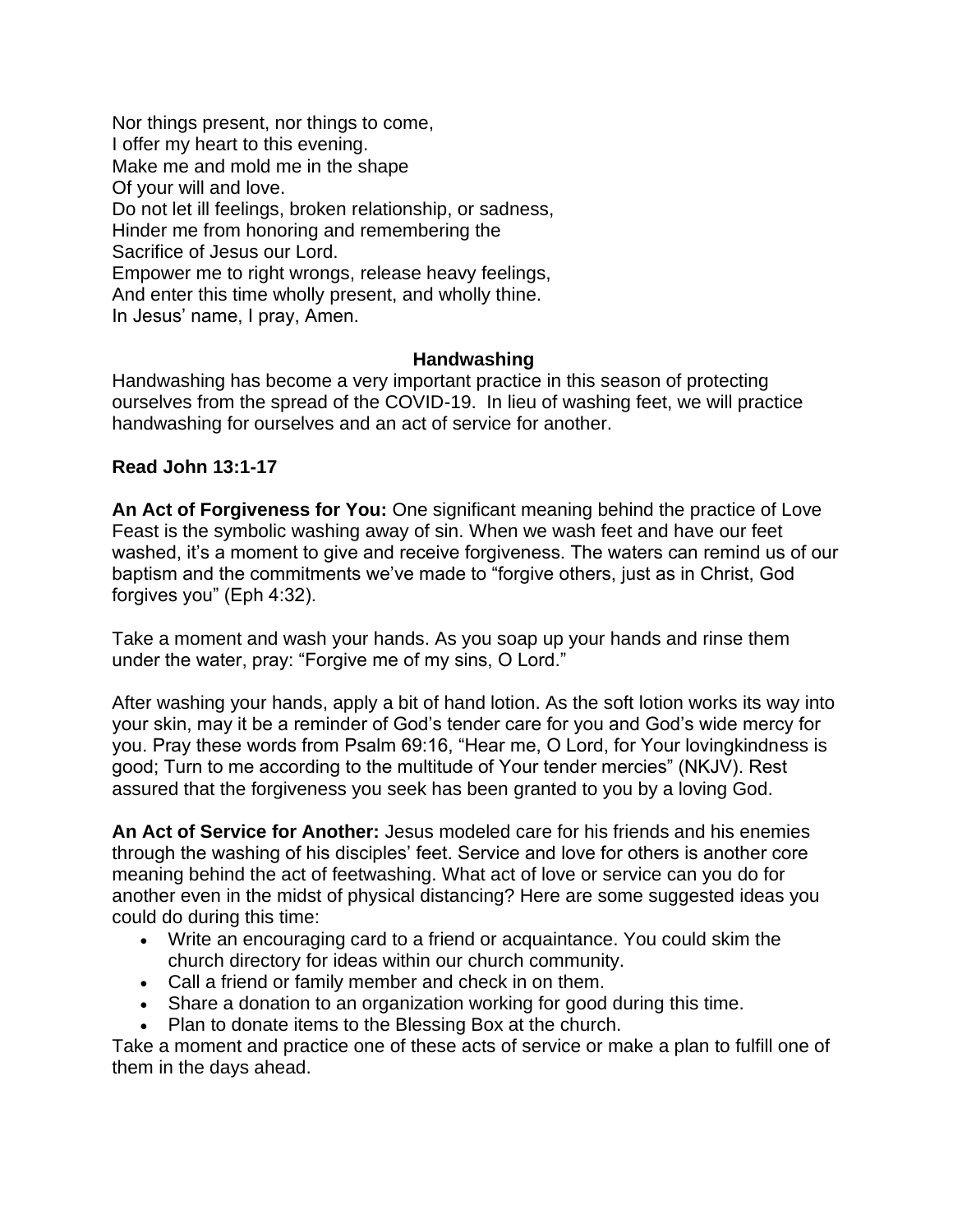Nor things present, nor things to come, I offer my heart to this evening. Make me and mold me in the shape Of your will and love. Do not let ill feelings, broken relationship, or sadness, Hinder me from honoring and remembering the Sacrifice of Jesus our Lord. Empower me to right wrongs, release heavy feelings, And enter this time wholly present, and wholly thine. In Jesus' name, I pray, Amen.

### **Handwashing**

Handwashing has become a very important practice in this season of protecting ourselves from the spread of the COVID-19. In lieu of washing feet, we will practice handwashing for ourselves and an act of service for another.

### **Read John 13:1-17**

**An Act of Forgiveness for You:** One significant meaning behind the practice of Love Feast is the symbolic washing away of sin. When we wash feet and have our feet washed, it's a moment to give and receive forgiveness. The waters can remind us of our baptism and the commitments we've made to "forgive others, just as in Christ, God forgives you" (Eph 4:32).

Take a moment and wash your hands. As you soap up your hands and rinse them under the water, pray: "Forgive me of my sins, O Lord."

After washing your hands, apply a bit of hand lotion. As the soft lotion works its way into your skin, may it be a reminder of God's tender care for you and God's wide mercy for you. Pray these words from Psalm 69:16, "Hear me, O Lord, for Your lovingkindness is good; Turn to me according to the multitude of Your tender mercies" (NKJV). Rest assured that the forgiveness you seek has been granted to you by a loving God.

**An Act of Service for Another:** Jesus modeled care for his friends and his enemies through the washing of his disciples' feet. Service and love for others is another core meaning behind the act of feetwashing. What act of love or service can you do for another even in the midst of physical distancing? Here are some suggested ideas you could do during this time:

- Write an encouraging card to a friend or acquaintance. You could skim the church directory for ideas within our church community.
- Call a friend or family member and check in on them.
- Share a donation to an organization working for good during this time.
- Plan to donate items to the Blessing Box at the church.

Take a moment and practice one of these acts of service or make a plan to fulfill one of them in the days ahead.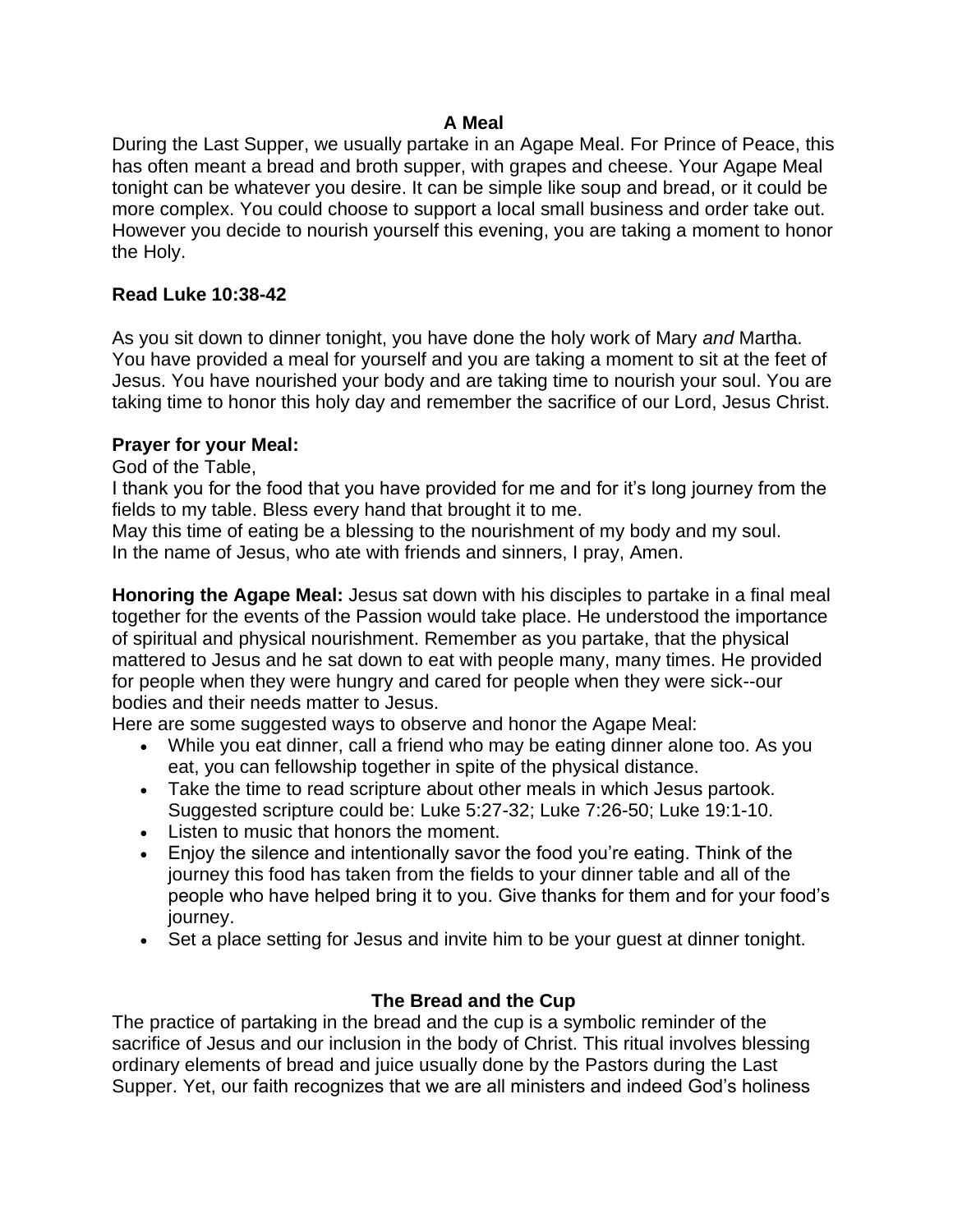### **A Meal**

During the Last Supper, we usually partake in an Agape Meal. For Prince of Peace, this has often meant a bread and broth supper, with grapes and cheese. Your Agape Meal tonight can be whatever you desire. It can be simple like soup and bread, or it could be more complex. You could choose to support a local small business and order take out. However you decide to nourish yourself this evening, you are taking a moment to honor the Holy.

# **Read Luke 10:38-42**

As you sit down to dinner tonight, you have done the holy work of Mary *and* Martha. You have provided a meal for yourself and you are taking a moment to sit at the feet of Jesus. You have nourished your body and are taking time to nourish your soul. You are taking time to honor this holy day and remember the sacrifice of our Lord, Jesus Christ.

## **Prayer for your Meal:**

### God of the Table,

I thank you for the food that you have provided for me and for it's long journey from the fields to my table. Bless every hand that brought it to me.

May this time of eating be a blessing to the nourishment of my body and my soul. In the name of Jesus, who ate with friends and sinners, I pray, Amen.

**Honoring the Agape Meal:** Jesus sat down with his disciples to partake in a final meal together for the events of the Passion would take place. He understood the importance of spiritual and physical nourishment. Remember as you partake, that the physical mattered to Jesus and he sat down to eat with people many, many times. He provided for people when they were hungry and cared for people when they were sick--our bodies and their needs matter to Jesus.

Here are some suggested ways to observe and honor the Agape Meal:

- While you eat dinner, call a friend who may be eating dinner alone too. As you eat, you can fellowship together in spite of the physical distance.
- Take the time to read scripture about other meals in which Jesus partook. Suggested scripture could be: Luke 5:27-32; Luke 7:26-50; Luke 19:1-10.
- Listen to music that honors the moment.
- Enjoy the silence and intentionally savor the food you're eating. Think of the journey this food has taken from the fields to your dinner table and all of the people who have helped bring it to you. Give thanks for them and for your food's journey.
- Set a place setting for Jesus and invite him to be your guest at dinner tonight.

# **The Bread and the Cup**

The practice of partaking in the bread and the cup is a symbolic reminder of the sacrifice of Jesus and our inclusion in the body of Christ. This ritual involves blessing ordinary elements of bread and juice usually done by the Pastors during the Last Supper. Yet, our faith recognizes that we are all ministers and indeed God's holiness